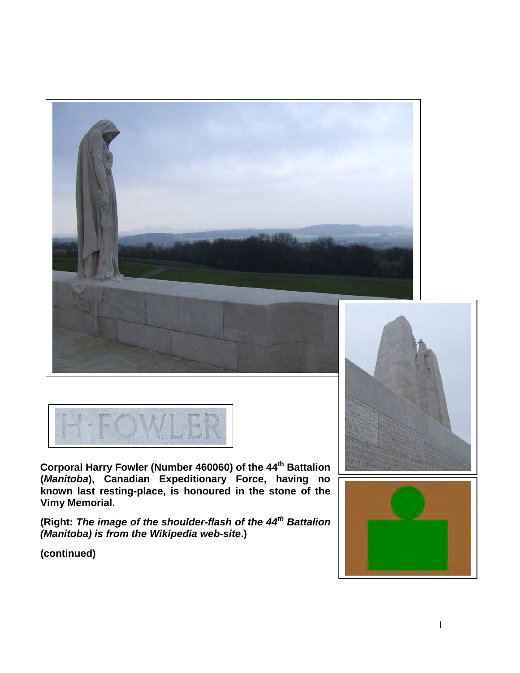



**Corporal Harry Fowler (Number 460060) of the 44th Battalion (***Manitoba***), Canadian Expeditionary Force, having no known last resting-place, is honoured in the stone of the Vimy Memorial.**

**(Right:** *The image of the shoulder-flash of the 44th Battalion (Manitoba) is from the Wikipedia web-site***.)**



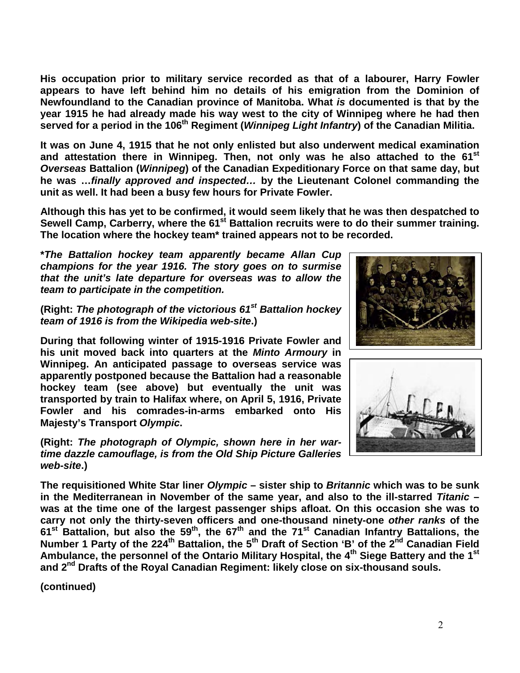**His occupation prior to military service recorded as that of a labourer, Harry Fowler appears to have left behind him no details of his emigration from the Dominion of Newfoundland to the Canadian province of Manitoba. What** *is* **documented is that by the year 1915 he had already made his way west to the city of Winnipeg where he had then served for a period in the 106th Regiment (***Winnipeg Light Infantry***) of the Canadian Militia.** 

**It was on June 4, 1915 that he not only enlisted but also underwent medical examination and attestation there in Winnipeg. Then, not only was he also attached to the 61st** *Overseas* **Battalion (***Winnipeg***) of the Canadian Expeditionary Force on that same day, but he was …***finally approved and inspected…* **by the Lieutenant Colonel commanding the unit as well. It had been a busy few hours for Private Fowler.**

**Although this has yet to be confirmed, it would seem likely that he was then despatched to**  Sewell Camp, Carberry, where the 61<sup>st</sup> Battalion recruits were to do their summer training. **The location where the hockey team\* trained appears not to be recorded.**

**\****The Battalion hockey team apparently became Allan Cup champions for the year 1916. The story goes on to surmise that the unit's late departure for overseas was to allow the team to participate in the competition.*

**(Right:** *The photograph of the victorious 61st Battalion hockey team of 1916 is from the Wikipedia web-site***.)**

**During that following winter of 1915-1916 Private Fowler and his unit moved back into quarters at the** *Minto Armoury* **in Winnipeg. An anticipated passage to overseas service was apparently postponed because the Battalion had a reasonable hockey team (see above) but eventually the unit was transported by train to Halifax where, on April 5, 1916, Private Fowler and his comrades-in-arms embarked onto His Majesty's Transport** *Olympic***.** 

**(Right:** *The photograph of Olympic, shown here in her wartime dazzle camouflage, is from the Old Ship Picture Galleries web-site***.)** 





**The requisitioned White Star liner** *Olympic* **– sister ship to** *Britannic* **which was to be sunk in the Mediterranean in November of the same year, and also to the ill-starred** *Titanic* **– was at the time one of the largest passenger ships afloat. On this occasion she was to carry not only the thirty-seven officers and one-thousand ninety-one** *other ranks* **of the 61st Battalion, but also the 59th, the 67th and the 71st Canadian Infantry Battalions, the Number 1 Party of the 224th Battalion, the 5th Draft of Section 'B' of the 2nd Canadian Field Ambulance, the personnel of the Ontario Military Hospital, the 4th Siege Battery and the 1st and 2nd Drafts of the Royal Canadian Regiment: likely close on six-thousand souls.**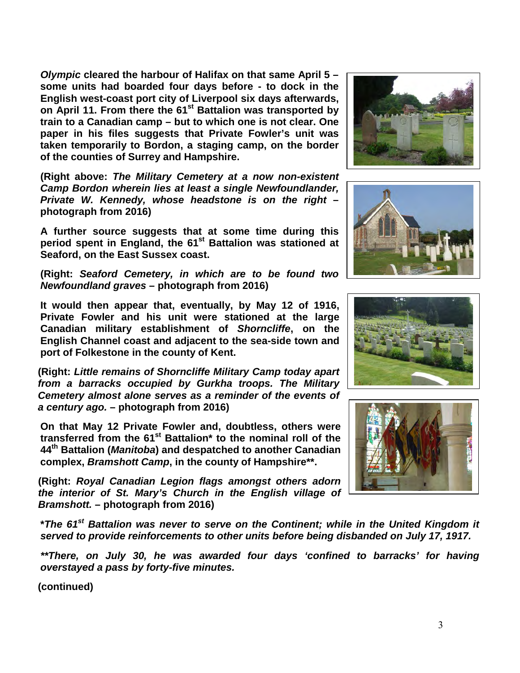*Olympic* **cleared the harbour of Halifax on that same April 5 – some units had boarded four days before - to dock in the English west-coast port city of Liverpool six days afterwards, on April 11. From there the 61st Battalion was transported by train to a Canadian camp – but to which one is not clear. One paper in his files suggests that Private Fowler's unit was taken temporarily to Bordon, a staging camp, on the border of the counties of Surrey and Hampshire.**

**(Right above:** *The Military Cemetery at a now non-existent Camp Bordon wherein lies at least a single Newfoundlander, Private W. Kennedy, whose headstone is on the right* **– photograph from 2016)**

**A further source suggests that at some time during this**  period spent in England, the 61<sup>st</sup> Battalion was stationed at **Seaford, on the East Sussex coast.**

**(Right:** *Seaford Cemetery, in which are to be found two Newfoundland graves* **– photograph from 2016)**

**It would then appear that, eventually, by May 12 of 1916, Private Fowler and his unit were stationed at the large Canadian military establishment of** *Shorncliffe***, on the English Channel coast and adjacent to the sea-side town and port of Folkestone in the county of Kent.** 

**(Right:** *Little remains of Shorncliffe Military Camp today apart from a barracks occupied by Gurkha troops. The Military Cemetery almost alone serves as a reminder of the events of a century ago.* **– photograph from 2016)**

**On that May 12 Private Fowler and, doubtless, others were transferred from the 61st Battalion\* to the nominal roll of the 44th Battalion (***Manitoba***) and despatched to another Canadian complex,** *Bramshott Camp***, in the county of Hampshire\*\*.**

**(Right:** *Royal Canadian Legion flags amongst others adorn the interior of St. Mary's Church in the English village of Bramshott.* **– photograph from 2016)**

**\****The 61st Battalion was never to serve on the Continent; while in the United Kingdom it served to provide reinforcements to other units before being disbanded on July 17, 1917.*

*\*\*There, on July 30, he was awarded four days 'confined to barracks' for having overstayed a pass by forty-five minutes.* 







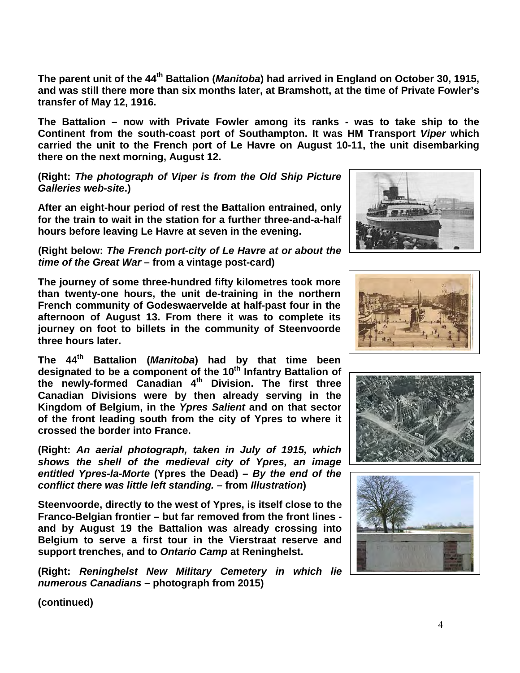**The parent unit of the 44th Battalion (***Manitoba***) had arrived in England on October 30, 1915, and was still there more than six months later, at Bramshott, at the time of Private Fowler's transfer of May 12, 1916.** 

**The Battalion – now with Private Fowler among its ranks - was to take ship to the Continent from the south-coast port of Southampton. It was HM Transport** *Viper* **which carried the unit to the French port of Le Havre on August 10-11, the unit disembarking there on the next morning, August 12.**

**(Right:** *The photograph of Viper is from the Old Ship Picture Galleries web-site***.)**

**After an eight-hour period of rest the Battalion entrained, only for the train to wait in the station for a further three-and-a-half hours before leaving Le Havre at seven in the evening.**

**(Right below:** *The French port-city of Le Havre at or about the time of the Great War* **– from a vintage post-card)**

**The journey of some three-hundred fifty kilometres took more than twenty-one hours, the unit de-training in the northern French community of Godeswaervelde at half-past four in the afternoon of August 13. From there it was to complete its journey on foot to billets in the community of Steenvoorde three hours later.**

**The 44th Battalion (***Manitoba***) had by that time been designated to be a component of the 10th Infantry Battalion of the newly-formed Canadian 4th Division. The first three Canadian Divisions were by then already serving in the Kingdom of Belgium, in the** *Ypres Salient* **and on that sector of the front leading south from the city of Ypres to where it crossed the border into France.**

**(Right:** *An aerial photograph, taken in July of 1915, which shows the shell of the medieval city of Ypres, an image entitled Ypres-la-Morte* **(Ypres the Dead)** *– By the end of the conflict there was little left standing. –* **from** *Illustration***)** 

**Steenvoorde, directly to the west of Ypres, is itself close to the Franco-Belgian frontier – but far removed from the front lines and by August 19 the Battalion was already crossing into Belgium to serve a first tour in the Vierstraat reserve and support trenches, and to** *Ontario Camp* **at Reninghelst.**

**(Right:** *Reninghelst New Military Cemetery in which lie numerous Canadians* **– photograph from 2015)** 







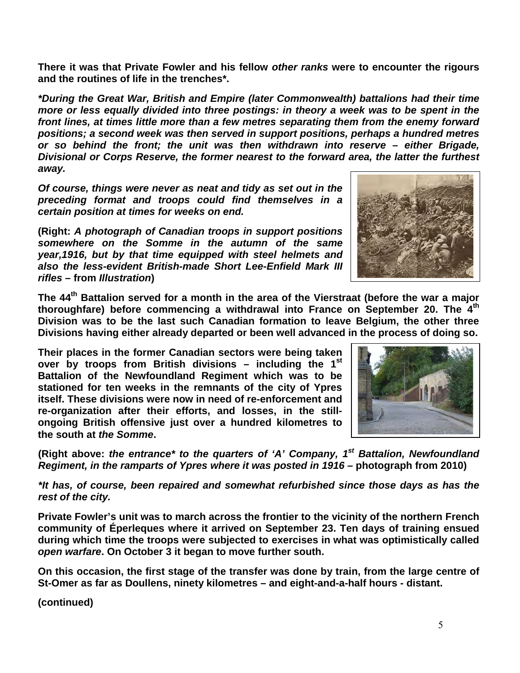**There it was that Private Fowler and his fellow** *other ranks* **were to encounter the rigours and the routines of life in the trenches\*.**

*\*During the Great War, British and Empire (later Commonwealth) battalions had their time more or less equally divided into three postings: in theory a week was to be spent in the front lines, at times little more than a few metres separating them from the enemy forward positions; a second week was then served in support positions, perhaps a hundred metres or so behind the front; the unit was then withdrawn into reserve – either Brigade, Divisional or Corps Reserve, the former nearest to the forward area, the latter the furthest away.* 

*Of course, things were never as neat and tidy as set out in the preceding format and troops could find themselves in a certain position at times for weeks on end.*

**(Right:** *A photograph of Canadian troops in support positions somewhere on the Somme in the autumn of the same year,1916, but by that time equipped with steel helmets and also the less-evident British-made Short Lee-Enfield Mark III rifles* **– from** *Illustration***)** 

**The 44th Battalion served for a month in the area of the Vierstraat (before the war a major thoroughfare) before commencing a withdrawal into France on September 20. The 4th Division was to be the last such Canadian formation to leave Belgium, the other three Divisions having either already departed or been well advanced in the process of doing so.**

**Their places in the former Canadian sectors were being taken over by troops from British divisions – including the 1st Battalion of the Newfoundland Regiment which was to be stationed for ten weeks in the remnants of the city of Ypres itself. These divisions were now in need of re-enforcement and re-organization after their efforts, and losses, in the stillongoing British offensive just over a hundred kilometres to the south at** *the Somme***.** 

**(Right above:** *the entrance\* to the quarters of 'A' Company, 1st Battalion, Newfoundland Regiment, in the ramparts of Ypres where it was posted in 1916 –* **photograph from 2010)**

*\*It has, of course, been repaired and somewhat refurbished since those days as has the rest of the city.*

**Private Fowler's unit was to march across the frontier to the vicinity of the northern French community of Éperleques where it arrived on September 23. Ten days of training ensued during which time the troops were subjected to exercises in what was optimistically called**  *open warfare***. On October 3 it began to move further south.**

**On this occasion, the first stage of the transfer was done by train, from the large centre of St-Omer as far as Doullens, ninety kilometres – and eight-and-a-half hours - distant.** 

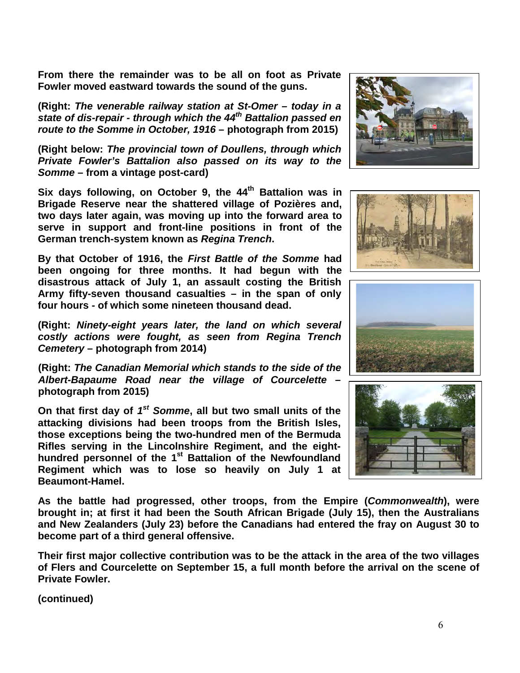**From there the remainder was to be all on foot as Private Fowler moved eastward towards the sound of the guns.**

**(Right:** *The venerable railway station at St-Omer – today in a state of dis-repair - through which the 44th Battalion passed en route to the Somme in October, 1916* **– photograph from 2015)**

**(Right below:** *The provincial town of Doullens, through which Private Fowler's Battalion also passed on its way to the Somme* **– from a vintage post-card)**

**Six days following, on October 9, the 44th Battalion was in Brigade Reserve near the shattered village of Pozières and, two days later again, was moving up into the forward area to serve in support and front-line positions in front of the German trench-system known as** *Regina Trench***.** 

**By that October of 1916, the** *First Battle of the Somme* **had been ongoing for three months. It had begun with the disastrous attack of July 1, an assault costing the British Army fifty-seven thousand casualties – in the span of only four hours - of which some nineteen thousand dead.** 

**(Right:** *Ninety-eight years later, the land on which several costly actions were fought, as seen from Regina Trench Cemetery* **– photograph from 2014)**

**(Right:** *The Canadian Memorial which stands to the side of the Albert-Bapaume Road near the village of Courcelette* **– photograph from 2015)**

**On that first day of** *1st Somme***, all but two small units of the attacking divisions had been troops from the British Isles, those exceptions being the two-hundred men of the Bermuda Rifles serving in the Lincolnshire Regiment, and the eighthundred personnel of the 1st Battalion of the Newfoundland Regiment which was to lose so heavily on July 1 at Beaumont-Hamel.**

**As the battle had progressed, other troops, from the Empire (***Commonwealth***), were brought in; at first it had been the South African Brigade (July 15), then the Australians and New Zealanders (July 23) before the Canadians had entered the fray on August 30 to become part of a third general offensive.** 

**Their first major collective contribution was to be the attack in the area of the two villages of Flers and Courcelette on September 15, a full month before the arrival on the scene of Private Fowler.**







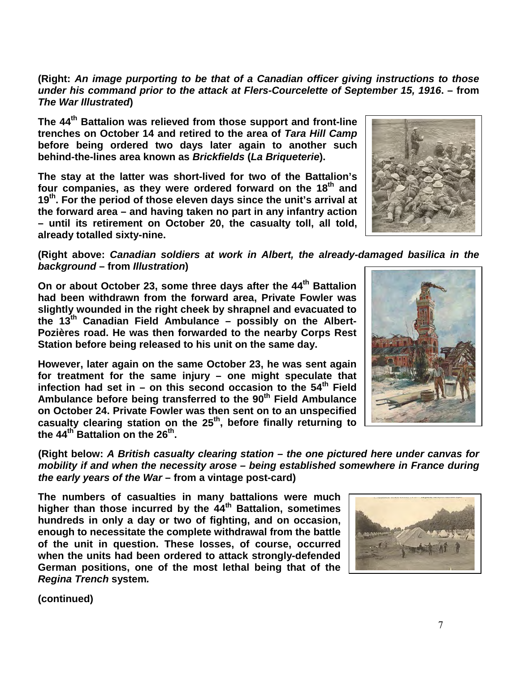**(Right:** *An image purporting to be that of a Canadian officer giving instructions to those under his command prior to the attack at Flers-Courcelette of September 15, 1916***. – from**  *The War Illustrated***)** 

**The 44th Battalion was relieved from those support and front-line trenches on October 14 and retired to the area of** *Tara Hill Camp* **before being ordered two days later again to another such behind-the-lines area known as** *Brickfields* **(***La Briqueterie***).** 

**The stay at the latter was short-lived for two of the Battalion's**  four companies, as they were ordered forward on the 18<sup>th</sup> and **19th. For the period of those eleven days since the unit's arrival at the forward area – and having taken no part in any infantry action – until its retirement on October 20, the casualty toll, all told, already totalled sixty-nine.** 

**(Right above:** *Canadian soldiers at work in Albert, the already-damaged basilica in the background* **– from** *Illustration***)** 

**On or about October 23, some three days after the 44th Battalion had been withdrawn from the forward area, Private Fowler was slightly wounded in the right cheek by shrapnel and evacuated to the 13th Canadian Field Ambulance – possibly on the Albert-Pozières road. He was then forwarded to the nearby Corps Rest Station before being released to his unit on the same day.**

**However, later again on the same October 23, he was sent again for treatment for the same injury – one might speculate that infection had set in – on this second occasion to the 54th Field**  Ambulance before being transferred to the 90<sup>th</sup> Field Ambulance **on October 24. Private Fowler was then sent on to an unspecified casualty clearing station on the 25th, before finally returning to the 44th Battalion on the 26th.** 

**(Right below:** *A British casualty clearing station – the one pictured here under canvas for mobility if and when the necessity arose – being established somewhere in France during the early years of the War* **– from a vintage post-card)**

**The numbers of casualties in many battalions were much higher than those incurred by the 44th Battalion, sometimes hundreds in only a day or two of fighting, and on occasion, enough to necessitate the complete withdrawal from the battle of the unit in question. These losses, of course, occurred when the units had been ordered to attack strongly-defended German positions, one of the most lethal being that of the** *Regina Trench* **system***.* 

**(continued)**



7



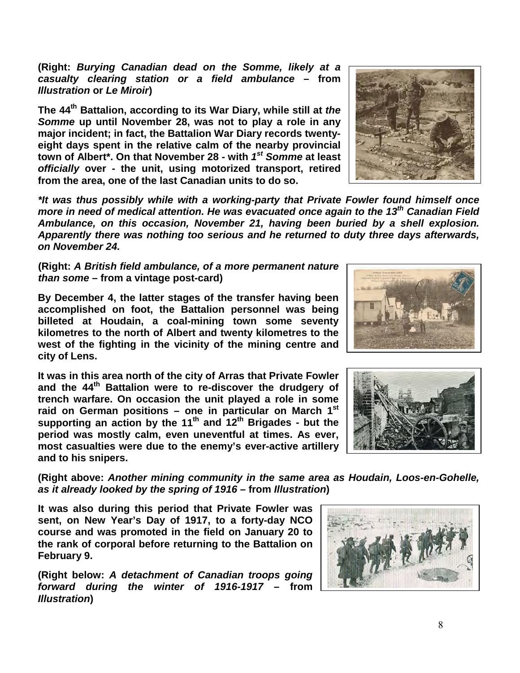**(Right:** *Burying Canadian dead on the Somme, likely at a casualty clearing station or a field ambulance* **– from**  *Illustration* **or** *Le Miroir***)** 

**The 44th Battalion, according to its War Diary, while still at** *the Somme* **up until November 28, was not to play a role in any major incident; in fact, the Battalion War Diary records twentyeight days spent in the relative calm of the nearby provincial town of Albert\*. On that November 28 - with** *1st Somme* **at least**  *officially* **over - the unit, using motorized transport, retired from the area, one of the last Canadian units to do so.**

*\*It was thus possibly while with a working-party that Private Fowler found himself once more in need of medical attention. He was evacuated once again to the 13th Canadian Field Ambulance, on this occasion, November 21, having been buried by a shell explosion. Apparently there was nothing too serious and he returned to duty three days afterwards, on November 24.*

**(Right:** *A British field ambulance, of a more permanent nature than some* **– from a vintage post-card)**

**By December 4, the latter stages of the transfer having been accomplished on foot, the Battalion personnel was being billeted at Houdain, a coal-mining town some seventy kilometres to the north of Albert and twenty kilometres to the west of the fighting in the vicinity of the mining centre and city of Lens.**

**It was in this area north of the city of Arras that Private Fowler and the 44th Battalion were to re-discover the drudgery of trench warfare. On occasion the unit played a role in some raid on German positions – one in particular on March 1st supporting an action by the 11th and 12th Brigades - but the period was mostly calm, even uneventful at times. As ever, most casualties were due to the enemy's ever-active artillery and to his snipers.**

**(Right above:** *Another mining community in the same area as Houdain, Loos-en-Gohelle, as it already looked by the spring of 1916* **– from** *Illustration***)** 

**It was also during this period that Private Fowler was sent, on New Year's Day of 1917, to a forty-day NCO course and was promoted in the field on January 20 to the rank of corporal before returning to the Battalion on February 9.**

**(Right below:** *A detachment of Canadian troops going forward during the winter of 1916-1917* **– from**  *Illustration***)** 







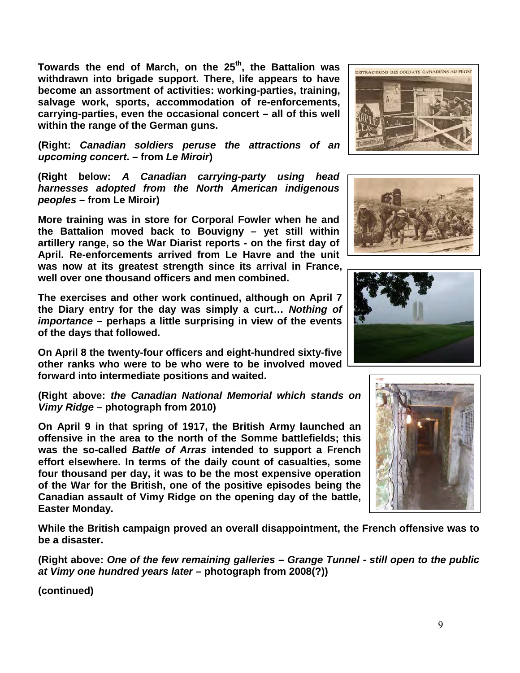Towards the end of March, on the 25<sup>th</sup>, the Battalion was **withdrawn into brigade support. There, life appears to have become an assortment of activities: working-parties, training, salvage work, sports, accommodation of re-enforcements, carrying-parties, even the occasional concert – all of this well within the range of the German guns.**

**(Right:** *Canadian soldiers peruse the attractions of an upcoming concert***. – from** *Le Miroir***)** 

**(Right below:** *A Canadian carrying-party using head harnesses adopted from the North American indigenous peoples* **– from Le Miroir)**

**More training was in store for Corporal Fowler when he and the Battalion moved back to Bouvigny – yet still within artillery range, so the War Diarist reports - on the first day of April. Re-enforcements arrived from Le Havre and the unit was now at its greatest strength since its arrival in France, well over one thousand officers and men combined.** 

**The exercises and other work continued, although on April 7 the Diary entry for the day was simply a curt…** *Nothing of importance* **– perhaps a little surprising in view of the events of the days that followed.**

**On April 8 the twenty-four officers and eight-hundred sixty-five other ranks who were to be who were to be involved moved forward into intermediate positions and waited.**

**(Right above:** *the Canadian National Memorial which stands on Vimy Ridge* **– photograph from 2010)**

**On April 9 in that spring of 1917, the British Army launched an offensive in the area to the north of the Somme battlefields; this was the so-called** *Battle of Arras* **intended to support a French effort elsewhere. In terms of the daily count of casualties, some four thousand per day, it was to be the most expensive operation of the War for the British, one of the positive episodes being the Canadian assault of Vimy Ridge on the opening day of the battle, Easter Monday.** 

**While the British campaign proved an overall disappointment, the French offensive was to be a disaster.**

**(Right above:** *One of the few remaining galleries – Grange Tunnel - still open to the public at Vimy one hundred years later* **– photograph from 2008(?))**







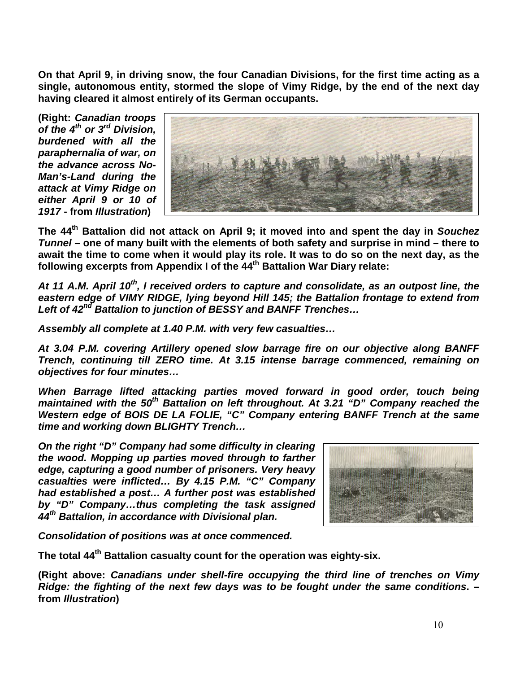**On that April 9, in driving snow, the four Canadian Divisions, for the first time acting as a single, autonomous entity, stormed the slope of Vimy Ridge, by the end of the next day having cleared it almost entirely of its German occupants.**

**(Right:** *Canadian troops of the 4th or 3rd Division, burdened with all the paraphernalia of war, on the advance across No-Man's-Land during the attack at Vimy Ridge on either April 9 or 10 of 1917* **- from** *Illustration***)** 



**The 44th Battalion did not attack on April 9; it moved into and spent the day in** *Souchez Tunnel* **– one of many built with the elements of both safety and surprise in mind – there to await the time to come when it would play its role. It was to do so on the next day, as the following excerpts from Appendix I of the 44th Battalion War Diary relate:**

*At 11 A.M. April 10th, I received orders to capture and consolidate, as an outpost line, the eastern edge of VIMY RIDGE, lying beyond Hill 145; the Battalion frontage to extend from Left of 42nd Battalion to junction of BESSY and BANFF Trenches…*

*Assembly all complete at 1.40 P.M. with very few casualties…*

*At 3.04 P.M. covering Artillery opened slow barrage fire on our objective along BANFF Trench, continuing till ZERO time. At 3.15 intense barrage commenced, remaining on objectives for four minutes…* 

When Barrage lifted attacking parties moved forward in good order, touch being *maintained with the 50<sup>th</sup> Battalion on left throughout. At 3.21 "D" Company reached the* Western edge of BOIS DE LA FOLIE, "C" Company entering BANFF Trench at the same *time and working down BLIGHTY Trench…*

*On the right "D" Company had some difficulty in clearing the wood. Mopping up parties moved through to farther edge, capturing a good number of prisoners. Very heavy casualties were inflicted… By 4.15 P.M. "C" Company had established a post… A further post was established by "D" Company…thus completing the task assigned 44th Battalion, in accordance with Divisional plan.*



*Consolidation of positions was at once commenced.*

**The total 44th Battalion casualty count for the operation was eighty-six.** 

**(Right above:** *Canadians under shell-fire occupying the third line of trenches on Vimy Ridge: the fighting of the next few days was to be fought under the same conditions***. – from** *Illustration***)**